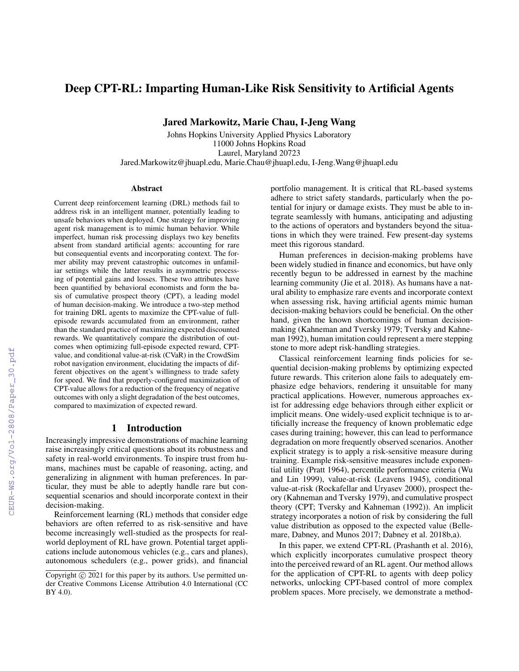# Deep CPT-RL: Imparting Human-Like Risk Sensitivity to Artificial Agents

Jared Markowitz, Marie Chau, I-Jeng Wang

Johns Hopkins University Applied Physics Laboratory 11000 Johns Hopkins Road Laurel, Maryland 20723 Jared.Markowitz@jhuapl.edu, Marie.Chau@jhuapl.edu, I-Jeng.Wang@jhuapl.edu

#### **Abstract**

Current deep reinforcement learning (DRL) methods fail to address risk in an intelligent manner, potentially leading to unsafe behaviors when deployed. One strategy for improving agent risk management is to mimic human behavior. While imperfect, human risk processing displays two key benefits absent from standard artificial agents: accounting for rare but consequential events and incorporating context. The former ability may prevent catastrophic outcomes in unfamiliar settings while the latter results in asymmetric processing of potential gains and losses. These two attributes have been quantified by behavioral economists and form the basis of cumulative prospect theory (CPT), a leading model of human decision-making. We introduce a two-step method for training DRL agents to maximize the CPT-value of fullepisode rewards accumulated from an environment, rather than the standard practice of maximizing expected discounted rewards. We quantitatively compare the distribution of outcomes when optimizing full-episode expected reward, CPTvalue, and conditional value-at-risk (CVaR) in the CrowdSim robot navigation environment, elucidating the impacts of different objectives on the agent's willingness to trade safety for speed. We find that properly-configured maximization of CPT-value allows for a reduction of the frequency of negative outcomes with only a slight degradation of the best outcomes, compared to maximization of expected reward.

# 1 Introduction

Increasingly impressive demonstrations of machine learning raise increasingly critical questions about its robustness and safety in real-world environments. To inspire trust from humans, machines must be capable of reasoning, acting, and generalizing in alignment with human preferences. In particular, they must be able to adeptly handle rare but consequential scenarios and should incorporate context in their decision-making.

Reinforcement learning (RL) methods that consider edge behaviors are often referred to as risk-sensitive and have become increasingly well-studied as the prospects for realworld deployment of RL have grown. Potential target applications include autonomous vehicles (e.g., cars and planes), autonomous schedulers (e.g., power grids), and financial

portfolio management. It is critical that RL-based systems adhere to strict safety standards, particularly when the potential for injury or damage exists. They must be able to integrate seamlessly with humans, anticipating and adjusting to the actions of operators and bystanders beyond the situations in which they were trained. Few present-day systems meet this rigorous standard.

Human preferences in decision-making problems have been widely studied in finance and economics, but have only recently begun to be addressed in earnest by the machine learning community (Jie et al. 2018). As humans have a natural ability to emphasize rare events and incorporate context when assessing risk, having artificial agents mimic human decision-making behaviors could be beneficial. On the other hand, given the known shortcomings of human decisionmaking (Kahneman and Tversky 1979; Tversky and Kahneman 1992), human imitation could represent a mere stepping stone to more adept risk-handling strategies.

Classical reinforcement learning finds policies for sequential decision-making problems by optimizing expected future rewards. This criterion alone fails to adequately emphasize edge behaviors, rendering it unsuitable for many practical applications. However, numerous approaches exist for addressing edge behaviors through either explicit or implicit means. One widely-used explicit technique is to artificially increase the frequency of known problematic edge cases during training; however, this can lead to performance degradation on more frequently observed scenarios. Another explicit strategy is to apply a risk-sensitive measure during training. Example risk-sensitive measures include exponential utility (Pratt 1964), percentile performance criteria (Wu and Lin 1999), value-at-risk (Leavens 1945), conditional value-at-risk (Rockafellar and Uryasev 2000), prospect theory (Kahneman and Tversky 1979), and cumulative prospect theory (CPT; Tversky and Kahneman (1992)). An implicit strategy incorporates a notion of risk by considering the full value distribution as opposed to the expected value (Bellemare, Dabney, and Munos 2017; Dabney et al. 2018b,a).

In this paper, we extend CPT-RL (Prashanth et al. 2016), which explicitly incorporates cumulative prospect theory into the perceived reward of an RL agent. Our method allows for the application of CPT-RL to agents with deep policy networks, unlocking CPT-based control of more complex problem spaces. More precisely, we demonstrate a method-

Copyright  $\odot$  2021 for this paper by its authors. Use permitted under Creative Commons License Attribution 4.0 International (CC BY 4.0).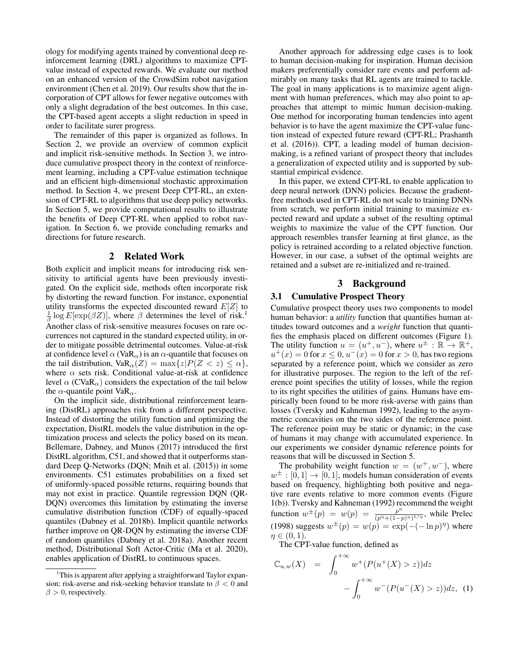ology for modifying agents trained by conventional deep reinforcement learning (DRL) algorithms to maximize CPTvalue instead of expected rewards. We evaluate our method on an enhanced version of the CrowdSim robot navigation environment (Chen et al. 2019). Our results show that the incorporation of CPT allows for fewer negative outcomes with only a slight degradation of the best outcomes. In this case, the CPT-based agent accepts a slight reduction in speed in order to facilitate surer progress.

The remainder of this paper is organized as follows. In Section 2, we provide an overview of common explicit and implicit risk-sensitive methods. In Section 3, we introduce cumulative prospect theory in the context of reinforcement learning, including a CPT-value estimation technique and an efficient high-dimensional stochastic approximation method. In Section 4, we present Deep CPT-RL, an extension of CPT-RL to algorithms that use deep policy networks. In Section 5, we provide computational results to illustrate the benefits of Deep CPT-RL when applied to robot navigation. In Section 6, we provide concluding remarks and directions for future research.

# 2 Related Work

Both explicit and implicit means for introducing risk sensitivity to artificial agents have been previously investigated. On the explicit side, methods often incorporate risk by distorting the reward function. For instance, exponential utility transforms the expected discounted reward  $E[Z]$  to  $\frac{1}{\beta}$  log  $E[\exp(\beta Z)]$ , where  $\beta$  determines the level of risk.<sup>1</sup> Another class of risk-sensitive measures focuses on rare occurrences not captured in the standard expected utility, in order to mitigate possible detrimental outcomes. Value-at-risk at confidence level  $\alpha$  (VaR<sub> $\alpha$ </sub>) is an  $\alpha$ -quantile that focuses on the tail distribution,  $VaR_{\alpha}(Z) = \max\{z|P(Z < z) \leq \alpha\},\$ where  $\alpha$  sets risk. Conditional value-at-risk at confidence level  $\alpha$  (CVaR<sub> $\alpha$ </sub>) considers the expectation of the tail below the  $\alpha$ -quantile point VaR<sub> $\alpha$ </sub>.

On the implicit side, distributional reinforcement learning (DistRL) approaches risk from a different perspective. Instead of distorting the utility function and optimizing the expectation, DistRL models the value distribution in the optimization process and selects the policy based on its mean. Bellemare, Dabney, and Munos (2017) introduced the first DistRL algorithm, C51, and showed that it outperforms standard Deep Q-Networks (DQN; Mnih et al. (2015)) in some environments. C51 estimates probabilities on a fixed set of uniformly-spaced possible returns, requiring bounds that may not exist in practice. Quantile regression DQN (QR-DQN) overcomes this limitation by estimating the inverse cumulative distribution function (CDF) of equally-spaced quantiles (Dabney et al. 2018b). Implicit quantile networks further improve on QR-DQN by estimating the inverse CDF of random quantiles (Dabney et al. 2018a). Another recent method, Distributional Soft Actor-Critic (Ma et al. 2020), enables application of DistRL to continuous spaces.

Another approach for addressing edge cases is to look to human decision-making for inspiration. Human decision makers preferentially consider rare events and perform admirably on many tasks that RL agents are trained to tackle. The goal in many applications is to maximize agent alignment with human preferences, which may also point to approaches that attempt to mimic human decision-making. One method for incorporating human tendencies into agent behavior is to have the agent maximize the CPT-value function instead of expected future reward (CPT-RL; Prashanth et al. (2016)). CPT, a leading model of human decisionmaking, is a refined variant of prospect theory that includes a generalization of expected utility and is supported by substantial empirical evidence.

In this paper, we extend CPT-RL to enable application to deep neural network (DNN) policies. Because the gradientfree methods used in CPT-RL do not scale to training DNNs from scratch, we perform initial training to maximize expected reward and update a subset of the resulting optimal weights to maximize the value of the CPT function. Our approach resembles transfer learning at first glance, as the policy is retrained according to a related objective function. However, in our case, a subset of the optimal weights are retained and a subset are re-initialized and re-trained.

# 3 Background

# 3.1 Cumulative Prospect Theory

Cumulative prospect theory uses two components to model human behavior: a *utility* function that quantifies human attitudes toward outcomes and a *weight* function that quantifies the emphasis placed on different outcomes (Figure 1). The utility function  $u = (u^+, u^-)$ , where  $u^{\pm} : \mathbb{R} \to \mathbb{R}^+$ ,  $u^+(x) = 0$  for  $x \le 0$ ,  $u^-(x) = 0$  for  $x > 0$ , has two regions separated by a reference point, which we consider as zero for illustrative purposes. The region to the left of the reference point specifies the utility of losses, while the region to its right specifies the utilities of gains. Humans have empirically been found to be more risk-averse with gains than losses (Tversky and Kahneman 1992), leading to the asymmetric concavities on the two sides of the reference point. The reference point may be static or dynamic; in the case of humans it may change with accumulated experience. In our experiments we consider dynamic reference points for reasons that will be discussed in Section 5.

The probability weight function  $w = (w^+, w^-)$ , where  $w^{\pm} : [0, 1] \rightarrow [0, 1]$ , models human consideration of events based on frequency, highlighting both positive and negative rare events relative to more common events (Figure 1(b)). Tversky and Kahneman (1992) recommend the weight function  $w^{\pm}(p) = w(p) = \frac{p^{n}}{(p^{n}+1-p)^{n}}$  $\frac{p^{\gamma}}{(p^{\eta}+(1-p)^{\eta})^{1/\eta}}$ , while Prelec (1998) suggests  $w^{\pm}(p) = w(p) = \exp(-(-\ln p)^{\eta})$  where  $\eta \in (0,1)$ .

The CPT-value function, defined as

$$
\mathbb{C}_{u,w}(X) = \int_0^{+\infty} w^+(P(u^+(X) > z))dz - \int_0^{+\infty} w^-(P(u^-(X) > z))dz, \tag{1}
$$

<sup>&</sup>lt;sup>1</sup>This is apparent after applying a straightforward Taylor expansion; risk-averse and risk-seeking behavior translate to  $\beta < 0$  and  $\beta > 0$ , respectively.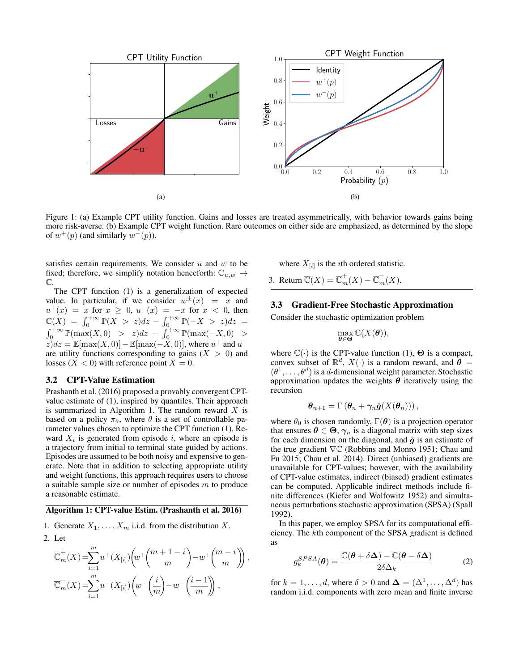

Figure 1: (a) Example CPT utility function. Gains and losses are treated asymmetrically, with behavior towards gains being more risk-averse. (b) Example CPT weight function. Rare outcomes on either side are emphasized, as determined by the slope of  $w^+(p)$  (and similarly  $w^-(p)$ ).

 $\left(\frac{i-i}{m}\right)\right),$ 

satisfies certain requirements. We consider  $u$  and  $w$  to be fixed; therefore, we simplify notation henceforth:  $\mathbb{C}_{u,w}$   $\rightarrow$  $\mathbb{C}.$ 

The CPT function (1) is a generalization of expected value. In particular, if we consider  $w^{\pm}(x) = x$  and  $u^+(x) = x$  for  $x \ge 0$ ,  $u^-(x) = -x$  for  $x < 0$ , then  $\mathbb{C}(X) = \int_0^{+\infty} \mathbb{P}(X > z) dz - \int_0^{+\infty} \mathbb{P}(-X > z) dz =$  $\int_0^{+\infty} \mathbb{P}(\max(X,0) > z) dz - \int_0^{+\infty} \mathbb{P}(\max(-X,0) > z) dz$  $(z)dz = \mathbb{E}[\max(X,0)] - \mathbb{E}[\max(-X,0)],$  where  $u^+$  and  $u^$ are utility functions corresponding to gains  $(X > 0)$  and losses ( $X < 0$ ) with reference point  $X = 0$ .

#### 3.2 CPT-Value Estimation

Prashanth et al. (2016) proposed a provably convergent CPTvalue estimate of (1), inspired by quantiles. Their approach is summarized in Algorithm 1. The random reward  $X$  is based on a policy  $\pi_{\theta}$ , where  $\theta$  is a set of controllable parameter values chosen to optimize the CPT function (1). Reward  $X_i$  is generated from episode i, where an episode is a trajectory from initial to terminal state guided by actions. Episodes are assumed to be both noisy and expensive to generate. Note that in addition to selecting appropriate utility and weight functions, this approach requires users to choose a suitable sample size or number of episodes  $m$  to produce a reasonable estimate.

#### Algorithm 1: CPT-value Estim. (Prashanth et al. 2016)

m

1. Generate  $X_1, \ldots, X_m$  i.i.d. from the distribution X.

2. Let  
\n
$$
\overline{\mathbb{C}}_m^+(X) = \sum_{i=1}^m u^+(X_{[i]}) \left( w^+\left( \frac{m+1-i}{m} \right) - w^+\left( \frac{m-i}{m} \right) \right)
$$
\n
$$
\overline{\mathbb{C}}_m^-(X) = \sum_{i=1}^m u^-(X_{[i]}) \left( w^-\left( \frac{i}{m} \right) - w^-\left( \frac{i-1}{m} \right) \right),
$$

 $i=1$ 

where  $X_{[i]}$  is the *i*th ordered statistic.

3. Return  $\overline{\mathbb{C}}(X) = \overline{\mathbb{C}}_m^+(X) - \overline{\mathbb{C}}_m^-(X)$ .

### 3.3 Gradient-Free Stochastic Approximation

Consider the stochastic optimization problem

$$
\max_{\theta \in \Theta} \mathbb{C}(X(\theta)),
$$

where  $\mathbb{C}(\cdot)$  is the CPT-value function (1),  $\Theta$  is a compact, convex subset of  $\mathbb{R}^d$ ,  $X(\cdot)$  is a random reward, and  $\boldsymbol{\theta} =$  $(\theta^1, \ldots, \theta^d)$  is a d-dimensional weight parameter. Stochastic approximation updates the weights  $\theta$  iteratively using the recursion

$$
\boldsymbol{\theta}_{n+1} = \Gamma\left(\boldsymbol{\theta}_n + \gamma_n \hat{\boldsymbol{g}}(X(\boldsymbol{\theta}_n))\right),
$$

where  $\theta_0$  is chosen randomly,  $\Gamma(\theta)$  is a projection operator that ensures  $\theta \in \Theta$ ,  $\gamma_n$  is a diagonal matrix with step sizes for each dimension on the diagonal, and  $\hat{g}$  is an estimate of the true gradient <sup>∇</sup><sup>C</sup> (Robbins and Monro 1951; Chau and Fu 2015; Chau et al. 2014). Direct (unbiased) gradients are unavailable for CPT-values; however, with the availability of CPT-value estimates, indirect (biased) gradient estimates can be computed. Applicable indirect methods include finite differences (Kiefer and Wolfowitz 1952) and simultaneous perturbations stochastic approximation (SPSA) (Spall 1992).

In this paper, we employ SPSA for its computational efficiency. The kth component of the SPSA gradient is defined as

$$
g_k^{SPSA}(\boldsymbol{\theta}) = \frac{\mathbb{C}(\boldsymbol{\theta} + \delta \boldsymbol{\Delta}) - \mathbb{C}(\boldsymbol{\theta} - \delta \boldsymbol{\Delta})}{2\delta \Delta_k}
$$
 (2)

for  $k = 1, \ldots, d$ , where  $\delta > 0$  and  $\boldsymbol{\Delta} = (\Delta^1, \ldots, \Delta^d)$  has random i.i.d. components with zero mean and finite inverse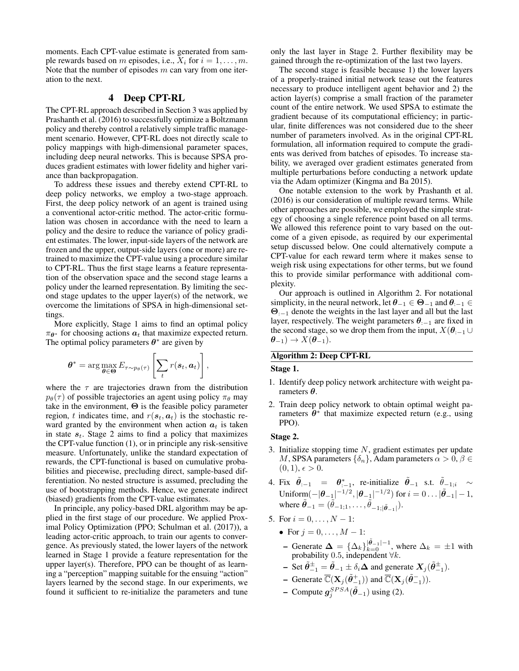moments. Each CPT-value estimate is generated from sample rewards based on m episodes, i.e.,  $X_i$  for  $i = 1, \ldots, m$ . Note that the number of episodes  $m$  can vary from one iteration to the next.

# 4 Deep CPT-RL

The CPT-RL approach described in Section 3 was applied by Prashanth et al. (2016) to successfully optimize a Boltzmann policy and thereby control a relatively simple traffic management scenario. However, CPT-RL does not directly scale to policy mappings with high-dimensional parameter spaces, including deep neural networks. This is because SPSA produces gradient estimates with lower fidelity and higher variance than backpropagation.

To address these issues and thereby extend CPT-RL to deep policy networks, we employ a two-stage approach. First, the deep policy network of an agent is trained using a conventional actor-critic method. The actor-critic formulation was chosen in accordance with the need to learn a policy and the desire to reduce the variance of policy gradient estimates. The lower, input-side layers of the network are frozen and the upper, output-side layers (one or more) are retrained to maximize the CPT-value using a procedure similar to CPT-RL. Thus the first stage learns a feature representation of the observation space and the second stage learns a policy under the learned representation. By limiting the second stage updates to the upper layer(s) of the network, we overcome the limitations of SPSA in high-dimensional settings.

More explicitly, Stage 1 aims to find an optimal policy  $\pi_{\theta^*}$  for choosing actions  $a_t$  that maximize expected return. The optimal policy parameters  $\theta^*$  are given by

$$
\boldsymbol{\theta}^* = \arg \max_{\boldsymbol{\theta} \in \boldsymbol{\Theta}} E_{\tau \sim p_{\boldsymbol{\theta}}(\tau)} \left[ \sum_t r(\boldsymbol{s}_t, \boldsymbol{a}_t) \right],
$$

where the  $\tau$  are trajectories drawn from the distribution  $p_{\theta}(\tau)$  of possible trajectories an agent using policy  $\pi_{\theta}$  may take in the environment,  $\Theta$  is the feasible policy parameter region, t indicates time, and  $r(s_t, a_t)$  is the stochastic reward granted by the environment when action  $a_t$  is taken in state  $s_t$ . Stage 2 aims to find a policy that maximizes the CPT-value function (1), or in principle any risk-sensitive measure. Unfortunately, unlike the standard expectation of rewards, the CPT-functional is based on cumulative probabilities and piecewise, precluding direct, sample-based differentiation. No nested structure is assumed, precluding the use of bootstrapping methods. Hence, we generate indirect (biased) gradients from the CPT-value estimates.

In principle, any policy-based DRL algorithm may be applied in the first stage of our procedure. We applied Proximal Policy Optimization (PPO; Schulman et al. (2017)), a leading actor-critic approach, to train our agents to convergence. As previously stated, the lower layers of the network learned in Stage 1 provide a feature representation for the upper layer(s). Therefore, PPO can be thought of as learning a "perception" mapping suitable for the ensuing "action" layers learned by the second stage. In our experiments, we found it sufficient to re-initialize the parameters and tune

only the last layer in Stage 2. Further flexibility may be gained through the re-optimization of the last two layers.

The second stage is feasible because 1) the lower layers of a properly-trained initial network tease out the features necessary to produce intelligent agent behavior and 2) the action layer(s) comprise a small fraction of the parameter count of the entire network. We used SPSA to estimate the gradient because of its computational efficiency; in particular, finite differences was not considered due to the sheer number of parameters involved. As in the original CPT-RL formulation, all information required to compute the gradients was derived from batches of episodes. To increase stability, we averaged over gradient estimates generated from multiple perturbations before conducting a network update via the Adam optimizer (Kingma and Ba 2015).

One notable extension to the work by Prashanth et al. (2016) is our consideration of multiple reward terms. While other approaches are possible, we employed the simple strategy of choosing a single reference point based on all terms. We allowed this reference point to vary based on the outcome of a given episode, as required by our experimental setup discussed below. One could alternatively compute a CPT-value for each reward term where it makes sense to weigh risk using expectations for other terms, but we found this to provide similar performance with additional complexity.

Our approach is outlined in Algorithm 2. For notational simplicity, in the neural network, let  $\theta_{-1} \in \Theta_{-1}$  and  $\theta_{-1} \in$ Θ:−<sup>1</sup> denote the weights in the last layer and all but the last layer, respectively. The weight parameters  $\theta_{-1}$  are fixed in the second stage, so we drop them from the input,  $X(\theta_{-1} \cup$  $\theta_{-1}) \rightarrow X(\theta_{-1}).$ 

# Algorithm 2: Deep CPT-RL

#### Stage 1.

- 1. Identify deep policy network architecture with weight parameters  $\theta$ .
- 2. Train deep policy network to obtain optimal weight parameters  $\hat{\theta}^*$  that maximize expected return (e.g., using PPO).

# Stage 2.

- 3. Initialize stopping time  $N$ , gradient estimates per update M, SPSA parameters  $\{\delta_n\}$ , Adam parameters  $\alpha > 0$ ,  $\beta \in$  $(0, 1), \epsilon > 0.$
- 4. Fix  $\tilde{\theta}_{i-1} = \theta_{i-1}^*$ , re-initialize  $\tilde{\theta}_{-1}$  s.t.  $\tilde{\theta}_{-1,i} \sim$ Uniform  $(-|\theta_{-1}|^{-1/2}, |\theta_{-1}|^{-1/2})$  for  $i = 0 \dots |\tilde{\theta}_{-1}| - 1$ , where  $\tilde{\boldsymbol{\theta}}_{-1} = (\tilde{\theta}_{-1;1}, \dots, \tilde{\theta}_{-1;|\tilde{\boldsymbol{\theta}}_{-1}|}).$
- 5. For  $i = 0, \ldots, N 1$ :
	- For  $j = 0, ..., M 1$ :
	- Generate  $\Delta = {\{\Delta_k\}}_{k=0}^{|\tilde{\theta}_{-1}|-1}$ , where  $\Delta_k = \pm 1$  with probability 0.5, independent  $\forall k$ .
	- $\tilde{\theta} = \tilde{\theta}_{-1} = \tilde{\theta}_{-1} \pm \delta_i \Delta$  and generate  $X_j(\tilde{\theta}_{-1}^{\pm})$ .
	- Generate  $\overline{\mathbb{C}}(\mathbf{X}_j(\tilde{\boldsymbol{\theta}}_{-1}^+))$  and  $\overline{\mathbb{C}}(\mathbf{X}_j(\tilde{\boldsymbol{\theta}}_{-1}^-)).$
	- Compute  $g_j^{SPSA}(\tilde{\theta}_{-1})$  using (2).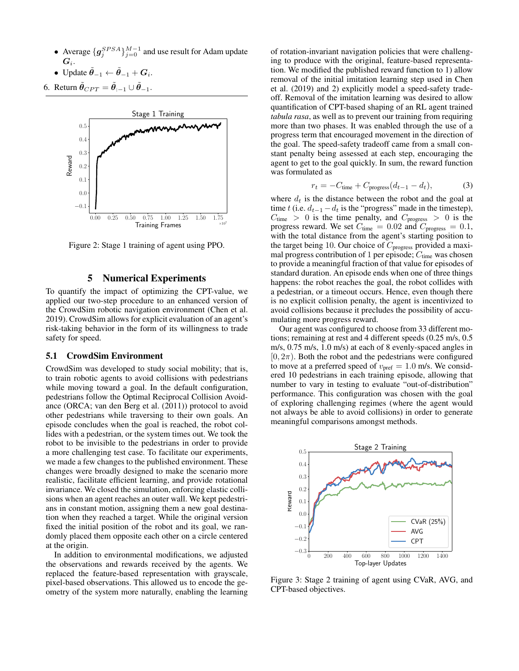- Average  $\{g_j^{SPSA}\}_{j=0}^{M-1}$  and use result for Adam update  $\boldsymbol{G}_i.$
- Update  $\tilde{\theta}_{-1} \leftarrow \tilde{\theta}_{-1} + G_i$ .

6. Return  $\tilde{\theta}_{CPT} = \tilde{\theta}_{-1} \cup \tilde{\theta}_{-1}$ .



Figure 2: Stage 1 training of agent using PPO.

# 5 Numerical Experiments

To quantify the impact of optimizing the CPT-value, we applied our two-step procedure to an enhanced version of the CrowdSim robotic navigation environment (Chen et al. 2019). CrowdSim allows for explicit evaluation of an agent's risk-taking behavior in the form of its willingness to trade safety for speed.

#### 5.1 CrowdSim Environment

CrowdSim was developed to study social mobility; that is, to train robotic agents to avoid collisions with pedestrians while moving toward a goal. In the default configuration, pedestrians follow the Optimal Reciprocal Collision Avoidance (ORCA; van den Berg et al. (2011)) protocol to avoid other pedestrians while traversing to their own goals. An episode concludes when the goal is reached, the robot collides with a pedestrian, or the system times out. We took the robot to be invisible to the pedestrians in order to provide a more challenging test case. To facilitate our experiments, we made a few changes to the published environment. These changes were broadly designed to make the scenario more realistic, facilitate efficient learning, and provide rotational invariance. We closed the simulation, enforcing elastic collisions when an agent reaches an outer wall. We kept pedestrians in constant motion, assigning them a new goal destination when they reached a target. While the original version fixed the initial position of the robot and its goal, we randomly placed them opposite each other on a circle centered at the origin.

In addition to environmental modifications, we adjusted the observations and rewards received by the agents. We replaced the feature-based representation with grayscale, pixel-based observations. This allowed us to encode the geometry of the system more naturally, enabling the learning

of rotation-invariant navigation policies that were challenging to produce with the original, feature-based representation. We modified the published reward function to 1) allow removal of the initial imitation learning step used in Chen et al. (2019) and 2) explicitly model a speed-safety tradeoff. Removal of the imitation learning was desired to allow quantification of CPT-based shaping of an RL agent trained *tabula rasa*, as well as to prevent our training from requiring more than two phases. It was enabled through the use of a progress term that encouraged movement in the direction of the goal. The speed-safety tradeoff came from a small constant penalty being assessed at each step, encouraging the agent to get to the goal quickly. In sum, the reward function was formulated as

$$
r_t = -C_{\text{time}} + C_{\text{progress}}(d_{t-1} - d_t),\tag{3}
$$

where  $d_t$  is the distance between the robot and the goal at time t (i.e.  $d_{t-1} - d_t$  is the "progress" made in the timestep),  $C_{time} > 0$  is the time penalty, and  $C_{progress} > 0$  is the progress reward. We set  $C_{time} = 0.02$  and  $C_{progress} = 0.1$ , with the total distance from the agent's starting position to the target being 10. Our choice of  $C_{\text{progress}}$  provided a maximal progress contribution of 1 per episode;  $C_{time}$  was chosen to provide a meaningful fraction of that value for episodes of standard duration. An episode ends when one of three things happens: the robot reaches the goal, the robot collides with a pedestrian, or a timeout occurs. Hence, even though there is no explicit collision penalty, the agent is incentivized to avoid collisions because it precludes the possibility of accumulating more progress reward.

Our agent was configured to choose from 33 different motions; remaining at rest and 4 different speeds (0.25 m/s, 0.5 m/s, 0.75 m/s, 1.0 m/s) at each of 8 evenly-spaced angles in  $[0, 2\pi)$ . Both the robot and the pedestrians were configured to move at a preferred speed of  $v_{\text{pref}} = 1.0$  m/s. We considered 10 pedestrians in each training episode, allowing that number to vary in testing to evaluate "out-of-distribution" performance. This configuration was chosen with the goal of exploring challenging regimes (where the agent would not always be able to avoid collisions) in order to generate meaningful comparisons amongst methods.



Figure 3: Stage 2 training of agent using CVaR, AVG, and CPT-based objectives.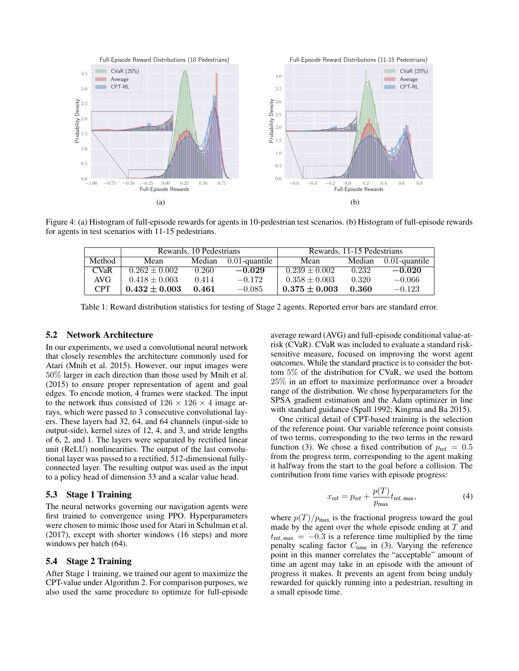

Figure 4: (a) Histogram of full-episode rewards for agents in 10-pedestrian test scenarios. (b) Histogram of full-episode rewards for agents in test scenarios with 11-15 pedestrians.

|             |                   | Rewards, 10 Pedestrians |                  | Rewards, 11-15 Pedestrians |        |                  |  |
|-------------|-------------------|-------------------------|------------------|----------------------------|--------|------------------|--|
| Method      | Mean              | Median                  | $0.01$ -quantile | Mean                       | Median | $0.01$ -quantile |  |
| <b>CVaR</b> | $0.262 \pm 0.002$ | 0.260                   | $-0.029$         | $0.239 \pm 0.002$          | 0.232  | $-0.020$         |  |
| AVG         | $0.418 \pm 0.003$ | 0.414                   | $-0.172$         | $0.358 \pm 0.003$          | 0.320  | $-0.066$         |  |
| CPT         | $0.432 + 0.003$   | 0.461                   | $-0.085$         | $0.375 + 0.003$            | 0.360  | $-0.123$         |  |

Table 1: Reward distribution statistics for testing of Stage 2 agents. Reported error bars are standard error.

# 5.2 Network Architecture

In our experiments, we used a convolutional neural network that closely resembles the architecture commonly used for Atari (Mnih et al. 2015). However, our input images were 50% larger in each direction than those used by Mnih et al. (2015) to ensure proper representation of agent and goal edges. To encode motion, 4 frames were stacked. The input to the network thus consisted of  $126 \times 126 \times 4$  image arrays, which were passed to 3 consecutive convolutional layers. These layers had 32, 64, and 64 channels (input-side to output-side), kernel sizes of 12, 4, and 3, and stride lengths of 6, 2, and 1. The layers were separated by rectified linear unit (ReLU) nonlinearities. The output of the last convolutional layer was passed to a rectified, 512-dimensional fullyconnected layer. The resulting output was used as the input to a policy head of dimension 33 and a scalar value head.

#### 5.3 Stage 1 Training

The neural networks governing our navigation agents were first trained to convergence using PPO. Hyperparameters were chosen to mimic those used for Atari in Schulman et al. (2017), except with shorter windows (16 steps) and more windows per batch (64).

## 5.4 Stage 2 Training

After Stage 1 training, we trained our agent to maximize the CPT-value under Algorithm 2. For comparison purposes, we also used the same procedure to optimize for full-episode

average reward (AVG) and full-episode conditional value-atrisk (CVaR). CVaR was included to evaluate a standard risksensitive measure, focused on improving the worst agent outcomes. While the standard practice is to consider the bottom 5% of the distribution for CVaR, we used the bottom 25% in an effort to maximize performance over a broader range of the distribution. We chose hyperparameters for the SPSA gradient estimation and the Adam optimizer in line with standard guidance (Spall 1992; Kingma and Ba 2015).

One critical detail of CPT-based training is the selection of the reference point. Our variable reference point consists of two terms, corresponding to the two terms in the reward function (3). We chose a fixed contribution of  $p_{ref} = 0.5$ from the progress term, corresponding to the agent making it halfway from the start to the goal before a collision. The contribution from time varies with episode progress:

$$
x_{\rm ref} = p_{\rm ref} + \frac{p(T)}{p_{\rm max}} t_{\rm ref, \, max},\tag{4}
$$

where  $p(T)/p_{\text{max}}$  is the fractional progress toward the goal made by the agent over the whole episode ending at  $T$  and  $t_{\text{ref, max}} = -0.3$  is a reference time multiplied by the time penalty scaling factor  $C_{time}$  in (3). Varying the reference point in this manner correlates the "acceptable" amount of time an agent may take in an episode with the amount of progress it makes. It prevents an agent from being unduly rewarded for quickly running into a pedestrian, resulting in a small episode time.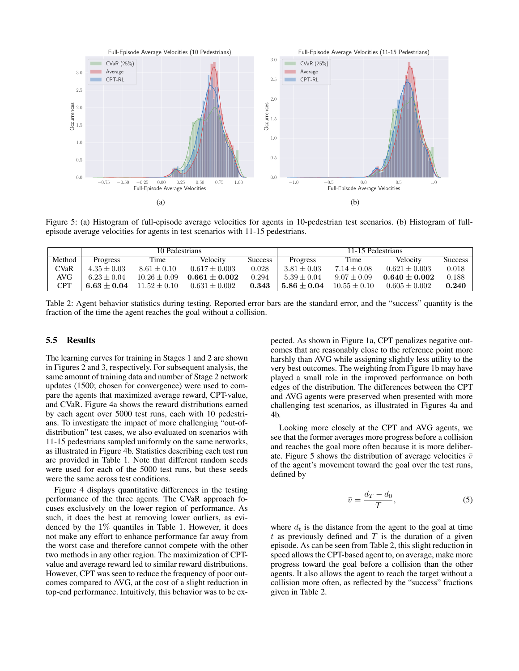

Figure 5: (a) Histogram of full-episode average velocities for agents in 10-pedestrian test scenarios. (b) Histogram of fullepisode average velocities for agents in test scenarios with 11-15 pedestrians.

|        | 10 Pedestrians |                  |                 |                | 11-15 Pedestrians |                 |                   |            |
|--------|----------------|------------------|-----------------|----------------|-------------------|-----------------|-------------------|------------|
| Method | Progress       | Time             | Velocity        | <b>Success</b> | Progress          | Time            | Velocity          | Success    |
| CVaR   | $4.35 + 0.03$  | $8.61 + 0.10$    | $0.617 + 0.003$ | 0.028          | $3.81 + 0.03$     | $7.14 \pm 0.08$ | $0.621 + 0.003$   | 0.018      |
| AVG    | $6.23 + 0.04$  | $10.26 \pm 0.09$ | $0.661 + 0.002$ | 0.294          | $5.39 + 0.04$     | $9.07 + 0.09$   | $0.640 + 0.002$   | 0.188      |
| CPT    | $6.63 + 0.04$  | $11.52 + 0.10$   | $0.631 + 0.002$ | 0.343          | $5.86 + 0.04$     | $10.55 + 0.10$  | $0.605 \pm 0.002$ | $\bf0.240$ |

Table 2: Agent behavior statistics during testing. Reported error bars are the standard error, and the "success" quantity is the fraction of the time the agent reaches the goal without a collision.

# 5.5 Results

The learning curves for training in Stages 1 and 2 are shown in Figures 2 and 3, respectively. For subsequent analysis, the same amount of training data and number of Stage 2 network updates (1500; chosen for convergence) were used to compare the agents that maximized average reward, CPT-value, and CVaR. Figure 4a shows the reward distributions earned by each agent over 5000 test runs, each with 10 pedestrians. To investigate the impact of more challenging "out-ofdistribution" test cases, we also evaluated on scenarios with 11-15 pedestrians sampled uniformly on the same networks, as illustrated in Figure 4b. Statistics describing each test run are provided in Table 1. Note that different random seeds were used for each of the 5000 test runs, but these seeds were the same across test conditions.

Figure 4 displays quantitative differences in the testing performance of the three agents. The CVaR approach focuses exclusively on the lower region of performance. As such, it does the best at removing lower outliers, as evidenced by the 1% quantiles in Table 1. However, it does not make any effort to enhance performance far away from the worst case and therefore cannot compete with the other two methods in any other region. The maximization of CPTvalue and average reward led to similar reward distributions. However, CPT was seen to reduce the frequency of poor outcomes compared to AVG, at the cost of a slight reduction in top-end performance. Intuitively, this behavior was to be expected. As shown in Figure 1a, CPT penalizes negative outcomes that are reasonably close to the reference point more harshly than AVG while assigning slightly less utility to the very best outcomes. The weighting from Figure 1b may have played a small role in the improved performance on both edges of the distribution. The differences between the CPT and AVG agents were preserved when presented with more challenging test scenarios, as illustrated in Figures 4a and 4b.

Looking more closely at the CPT and AVG agents, we see that the former averages more progress before a collision and reaches the goal more often because it is more deliberate. Figure 5 shows the distribution of average velocities  $\bar{v}$ of the agent's movement toward the goal over the test runs, defined by

$$
\bar{v} = \frac{d_T - d_0}{T},\tag{5}
$$

where  $d_t$  is the distance from the agent to the goal at time  $t$  as previously defined and  $T$  is the duration of a given episode. As can be seen from Table 2, this slight reduction in speed allows the CPT-based agent to, on average, make more progress toward the goal before a collision than the other agents. It also allows the agent to reach the target without a collision more often, as reflected by the "success" fractions given in Table 2.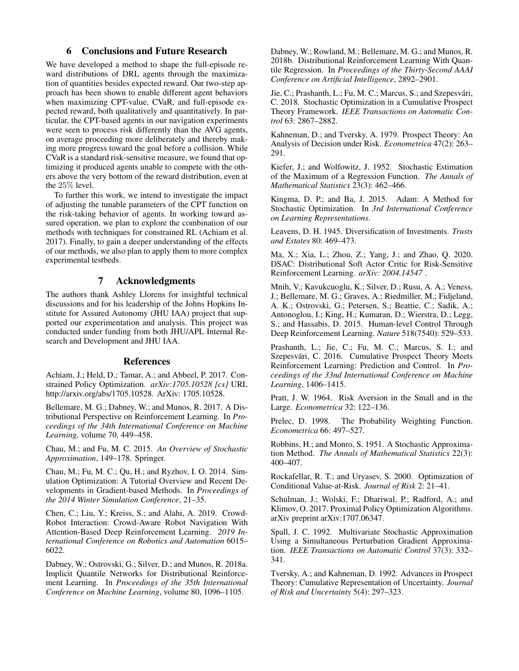# 6 Conclusions and Future Research

We have developed a method to shape the full-episode reward distributions of DRL agents through the maximization of quantities besides expected reward. Our two-step approach has been shown to enable different agent behaviors when maximizing CPT-value, CVaR, and full-episode expected reward, both qualitatively and quantitatively. In particular, the CPT-based agents in our navigation experiments were seen to process risk differently than the AVG agents, on average proceeding more deliberately and thereby making more progress toward the goal before a collision. While CVaR is a standard risk-sensitive measure, we found that optimizing it produced agents unable to compete with the others above the very bottom of the reward distribution, even at the 25% level.

To further this work, we intend to investigate the impact of adjusting the tunable parameters of the CPT function on the risk-taking behavior of agents. In working toward assured operation, we plan to explore the combination of our methods with techniques for constrained RL (Achiam et al. 2017). Finally, to gain a deeper understanding of the effects of our methods, we also plan to apply them to more complex experimental testbeds.

# 7 Acknowledgments

The authors thank Ashley Llorens for insightful technical discussions and for his leadership of the Johns Hopkins Institute for Assured Autonomy (JHU IAA) project that supported our experimentation and analysis. This project was conducted under funding from both JHU/APL Internal Research and Development and JHU IAA.

#### References

Achiam, J.; Held, D.; Tamar, A.; and Abbeel, P. 2017. Constrained Policy Optimization. *arXiv:1705.10528 [cs]* URL http://arxiv.org/abs/1705.10528. ArXiv: 1705.10528.

Bellemare, M. G.; Dabney, W.; and Munos, R. 2017. A Distributional Perspective on Reinforcement Learning. In *Proceedings of the 34th International Conference on Machine Learning*, volume 70, 449–458.

Chau, M.; and Fu, M. C. 2015. *An Overview of Stochastic Approximation*, 149–178. Springer.

Chau, M.; Fu, M. C.; Qu, H.; and Ryzhov, I. O. 2014. Simulation Optimization: A Tutorial Overview and Recent Developments in Gradient-based Methods. In *Proceedings of the 2014 Winter Simulation Conference*, 21–35.

Chen, C.; Liu, Y.; Kreiss, S.; and Alahi, A. 2019. Crowd-Robot Interaction: Crowd-Aware Robot Navigation With Attention-Based Deep Reinforcement Learning. *2019 International Conference on Robotics and Automation* 6015– 6022.

Dabney, W.; Ostrovski, G.; Silver, D.; and Munos, R. 2018a. Implicit Quantile Networks for Distributional Reinforcement Learning. In *Proceedings of the 35th International Conference on Machine Learning*, volume 80, 1096–1105.

Dabney, W.; Rowland, M.; Bellemare, M. G.; and Munos, R. 2018b. Distributional Reinforcement Learning With Quantile Regression. In *Proceedings of the Thirty-Second AAAI Conference on Artificial Intelligence*, 2892–2901.

Jie, C.; Prashanth, L.; Fu, M. C.; Marcus, S.; and Szepesvári, C. 2018. Stochastic Optimization in a Cumulative Prospect Theory Framework. *IEEE Transactions on Automatic Control* 63: 2867–2882.

Kahneman, D.; and Tversky, A. 1979. Prospect Theory: An Analysis of Decision under Risk. *Econometrica* 47(2): 263– 291.

Kiefer, J.; and Wolfowitz, J. 1952. Stochastic Estimation of the Maximum of a Regression Function. *The Annals of Mathematical Statistics* 23(3): 462–466.

Kingma, D. P.; and Ba, J. 2015. Adam: A Method for Stochastic Optimization. In *3rd International Conference on Learning Representations*.

Leavens, D. H. 1945. Diversification of Investments. *Trusts and Estates* 80: 469–473.

Ma, X.; Xia, L.; Zhou, Z.; Yang, J.; and Zhao, Q. 2020. DSAC: Distributional Soft Actor Critic for Risk-Sensitive Reinforcement Learning. *arXiv: 2004.14547* .

Mnih, V.; Kavukcuoglu, K.; Silver, D.; Rusu, A. A.; Veness, J.; Bellemare, M. G.; Graves, A.; Riedmiller, M.; Fidjeland, A. K.; Ostrovski, G.; Petersen, S.; Beattie, C.; Sadik, A.; Antonoglou, I.; King, H.; Kumaran, D.; Wierstra, D.; Legg, S.; and Hassabis, D. 2015. Human-level Control Through Deep Reinforcement Learning. *Nature* 518(7540): 529–533.

Prashanth, L.; Jie, C.; Fu, M. C.; Marcus, S. I.; and Szepesvári, C. 2016. Cumulative Prospect Theory Meets Reinforcement Learning: Prediction and Control. In *Proceedings of the 33nd International Conference on Machine Learning*, 1406–1415.

Pratt, J. W. 1964. Risk Aversion in the Small and in the Large. *Econometrica* 32: 122–136.

Prelec, D. 1998. The Probability Weighting Function. *Econometrica* 66: 497–527.

Robbins, H.; and Monro, S. 1951. A Stochastic Approximation Method. *The Annals of Mathematical Statistics* 22(3): 400–407.

Rockafellar, R. T.; and Uryasev, S. 2000. Optimization of Conditional Value-at-Risk. *Journal of Risk* 2: 21–41.

Schulman, J.; Wolski, F.; Dhariwal, P.; Radford, A.; and Klimov, O. 2017. Proximal Policy Optimization Algorithms. arXiv preprint arXiv:1707.06347.

Spall, J. C. 1992. Multivariate Stochastic Approximation Using a Simultaneous Perturbation Gradient Approximation. *IEEE Transactions on Automatic Control* 37(3): 332– 341.

Tversky, A.; and Kahneman, D. 1992. Advances in Prospect Theory: Cumulative Representation of Uncertainty. *Journal of Risk and Uncertainty* 5(4): 297–323.